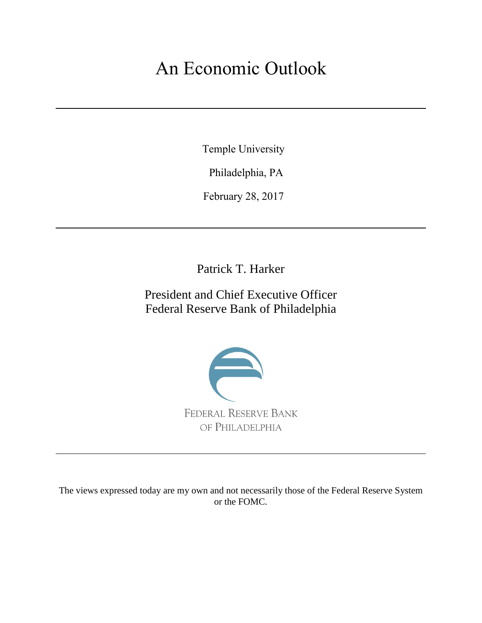# An Economic Outlook

Temple University

Philadelphia, PA

February 28, 2017

Patrick T. Harker

President and Chief Executive Officer Federal Reserve Bank of Philadelphia



The views expressed today are my own and not necessarily those of the Federal Reserve System or the FOMC.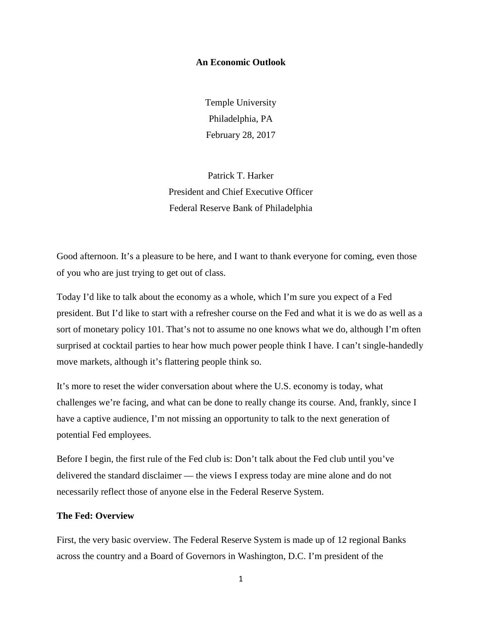## **An Economic Outlook**

Temple University Philadelphia, PA February 28, 2017

Patrick T. Harker President and Chief Executive Officer Federal Reserve Bank of Philadelphia

Good afternoon. It's a pleasure to be here, and I want to thank everyone for coming, even those of you who are just trying to get out of class.

Today I'd like to talk about the economy as a whole, which I'm sure you expect of a Fed president. But I'd like to start with a refresher course on the Fed and what it is we do as well as a sort of monetary policy 101. That's not to assume no one knows what we do, although I'm often surprised at cocktail parties to hear how much power people think I have. I can't single-handedly move markets, although it's flattering people think so.

It's more to reset the wider conversation about where the U.S. economy is today, what challenges we're facing, and what can be done to really change its course. And, frankly, since I have a captive audience, I'm not missing an opportunity to talk to the next generation of potential Fed employees.

Before I begin, the first rule of the Fed club is: Don't talk about the Fed club until you've delivered the standard disclaimer — the views I express today are mine alone and do not necessarily reflect those of anyone else in the Federal Reserve System.

## **The Fed: Overview**

First, the very basic overview. The Federal Reserve System is made up of 12 regional Banks across the country and a Board of Governors in Washington, D.C. I'm president of the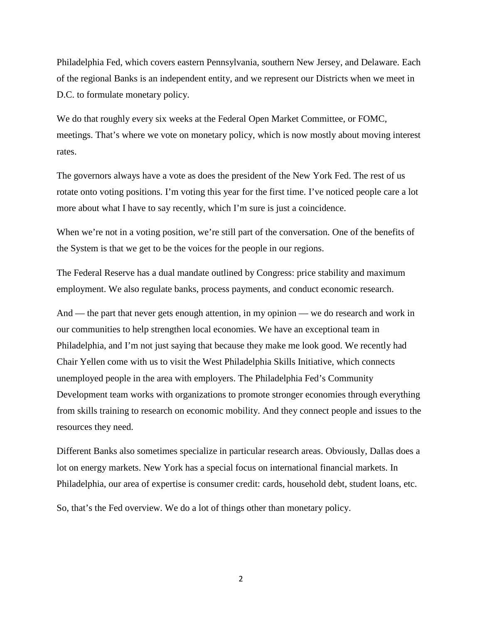Philadelphia Fed, which covers eastern Pennsylvania, southern New Jersey, and Delaware. Each of the regional Banks is an independent entity, and we represent our Districts when we meet in D.C. to formulate monetary policy.

We do that roughly every six weeks at the Federal Open Market Committee, or FOMC, meetings. That's where we vote on monetary policy, which is now mostly about moving interest rates.

The governors always have a vote as does the president of the New York Fed. The rest of us rotate onto voting positions. I'm voting this year for the first time. I've noticed people care a lot more about what I have to say recently, which I'm sure is just a coincidence.

When we're not in a voting position, we're still part of the conversation. One of the benefits of the System is that we get to be the voices for the people in our regions.

The Federal Reserve has a dual mandate outlined by Congress: price stability and maximum employment. We also regulate banks, process payments, and conduct economic research.

And — the part that never gets enough attention, in my opinion — we do research and work in our communities to help strengthen local economies. We have an exceptional team in Philadelphia, and I'm not just saying that because they make me look good. We recently had Chair Yellen come with us to visit the West Philadelphia Skills Initiative, which connects unemployed people in the area with employers. The Philadelphia Fed's Community Development team works with organizations to promote stronger economies through everything from skills training to research on economic mobility. And they connect people and issues to the resources they need.

Different Banks also sometimes specialize in particular research areas. Obviously, Dallas does a lot on energy markets. New York has a special focus on international financial markets. In Philadelphia, our area of expertise is consumer credit: cards, household debt, student loans, etc.

So, that's the Fed overview. We do a lot of things other than monetary policy.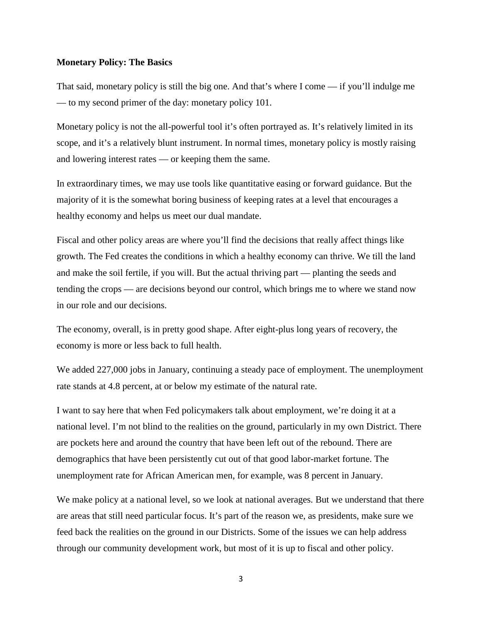## **Monetary Policy: The Basics**

That said, monetary policy is still the big one. And that's where I come — if you'll indulge me — to my second primer of the day: monetary policy 101.

Monetary policy is not the all-powerful tool it's often portrayed as. It's relatively limited in its scope, and it's a relatively blunt instrument. In normal times, monetary policy is mostly raising and lowering interest rates — or keeping them the same.

In extraordinary times, we may use tools like quantitative easing or forward guidance. But the majority of it is the somewhat boring business of keeping rates at a level that encourages a healthy economy and helps us meet our dual mandate.

Fiscal and other policy areas are where you'll find the decisions that really affect things like growth. The Fed creates the conditions in which a healthy economy can thrive. We till the land and make the soil fertile, if you will. But the actual thriving part — planting the seeds and tending the crops — are decisions beyond our control, which brings me to where we stand now in our role and our decisions.

The economy, overall, is in pretty good shape. After eight-plus long years of recovery, the economy is more or less back to full health.

We added 227,000 jobs in January, continuing a steady pace of employment. The unemployment rate stands at 4.8 percent, at or below my estimate of the natural rate.

I want to say here that when Fed policymakers talk about employment, we're doing it at a national level. I'm not blind to the realities on the ground, particularly in my own District. There are pockets here and around the country that have been left out of the rebound. There are demographics that have been persistently cut out of that good labor-market fortune. The unemployment rate for African American men, for example, was 8 percent in January.

We make policy at a national level, so we look at national averages. But we understand that there are areas that still need particular focus. It's part of the reason we, as presidents, make sure we feed back the realities on the ground in our Districts. Some of the issues we can help address through our community development work, but most of it is up to fiscal and other policy.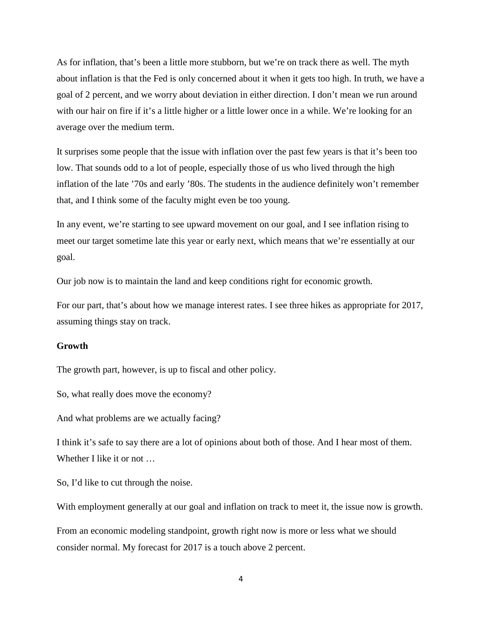As for inflation, that's been a little more stubborn, but we're on track there as well. The myth about inflation is that the Fed is only concerned about it when it gets too high. In truth, we have a goal of 2 percent, and we worry about deviation in either direction. I don't mean we run around with our hair on fire if it's a little higher or a little lower once in a while. We're looking for an average over the medium term.

It surprises some people that the issue with inflation over the past few years is that it's been too low. That sounds odd to a lot of people, especially those of us who lived through the high inflation of the late '70s and early '80s. The students in the audience definitely won't remember that, and I think some of the faculty might even be too young.

In any event, we're starting to see upward movement on our goal, and I see inflation rising to meet our target sometime late this year or early next, which means that we're essentially at our goal.

Our job now is to maintain the land and keep conditions right for economic growth.

For our part, that's about how we manage interest rates. I see three hikes as appropriate for 2017, assuming things stay on track.

## **Growth**

The growth part, however, is up to fiscal and other policy.

So, what really does move the economy?

And what problems are we actually facing?

I think it's safe to say there are a lot of opinions about both of those. And I hear most of them. Whether I like it or not …

So, I'd like to cut through the noise.

With employment generally at our goal and inflation on track to meet it, the issue now is growth.

From an economic modeling standpoint, growth right now is more or less what we should consider normal. My forecast for 2017 is a touch above 2 percent.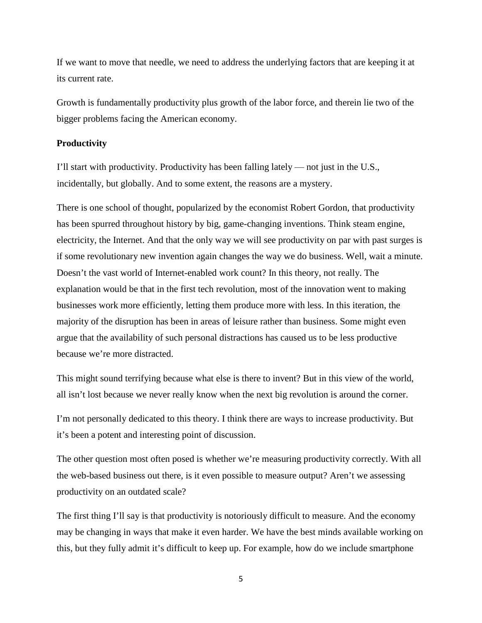If we want to move that needle, we need to address the underlying factors that are keeping it at its current rate.

Growth is fundamentally productivity plus growth of the labor force, and therein lie two of the bigger problems facing the American economy.

## **Productivity**

I'll start with productivity. Productivity has been falling lately — not just in the U.S., incidentally, but globally. And to some extent, the reasons are a mystery.

There is one school of thought, popularized by the economist Robert Gordon, that productivity has been spurred throughout history by big, game-changing inventions. Think steam engine, electricity, the Internet. And that the only way we will see productivity on par with past surges is if some revolutionary new invention again changes the way we do business. Well, wait a minute. Doesn't the vast world of Internet-enabled work count? In this theory, not really. The explanation would be that in the first tech revolution, most of the innovation went to making businesses work more efficiently, letting them produce more with less. In this iteration, the majority of the disruption has been in areas of leisure rather than business. Some might even argue that the availability of such personal distractions has caused us to be less productive because we're more distracted.

This might sound terrifying because what else is there to invent? But in this view of the world, all isn't lost because we never really know when the next big revolution is around the corner.

I'm not personally dedicated to this theory. I think there are ways to increase productivity. But it's been a potent and interesting point of discussion.

The other question most often posed is whether we're measuring productivity correctly. With all the web-based business out there, is it even possible to measure output? Aren't we assessing productivity on an outdated scale?

The first thing I'll say is that productivity is notoriously difficult to measure. And the economy may be changing in ways that make it even harder. We have the best minds available working on this, but they fully admit it's difficult to keep up. For example, how do we include smartphone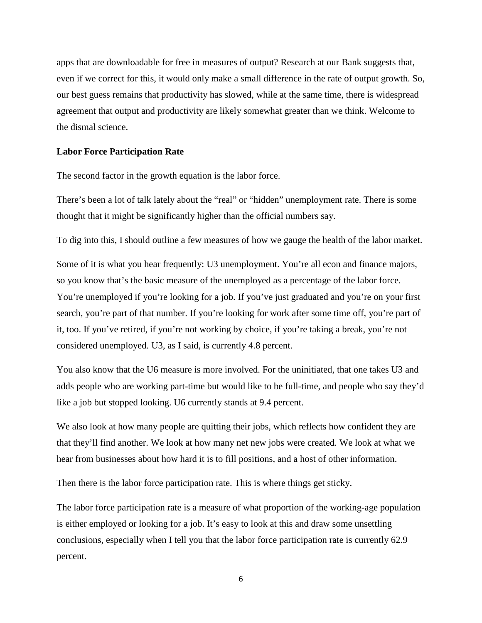apps that are downloadable for free in measures of output? Research at our Bank suggests that, even if we correct for this, it would only make a small difference in the rate of output growth. So, our best guess remains that productivity has slowed, while at the same time, there is widespread agreement that output and productivity are likely somewhat greater than we think. Welcome to the dismal science.

## **Labor Force Participation Rate**

The second factor in the growth equation is the labor force.

There's been a lot of talk lately about the "real" or "hidden" unemployment rate. There is some thought that it might be significantly higher than the official numbers say.

To dig into this, I should outline a few measures of how we gauge the health of the labor market.

Some of it is what you hear frequently: U3 unemployment. You're all econ and finance majors, so you know that's the basic measure of the unemployed as a percentage of the labor force. You're unemployed if you're looking for a job. If you've just graduated and you're on your first search, you're part of that number. If you're looking for work after some time off, you're part of it, too. If you've retired, if you're not working by choice, if you're taking a break, you're not considered unemployed. U3, as I said, is currently 4.8 percent.

You also know that the U6 measure is more involved. For the uninitiated, that one takes U3 and adds people who are working part-time but would like to be full-time, and people who say they'd like a job but stopped looking. U6 currently stands at 9.4 percent.

We also look at how many people are quitting their jobs, which reflects how confident they are that they'll find another. We look at how many net new jobs were created. We look at what we hear from businesses about how hard it is to fill positions, and a host of other information.

Then there is the labor force participation rate. This is where things get sticky.

The labor force participation rate is a measure of what proportion of the working-age population is either employed or looking for a job. It's easy to look at this and draw some unsettling conclusions, especially when I tell you that the labor force participation rate is currently 62.9 percent.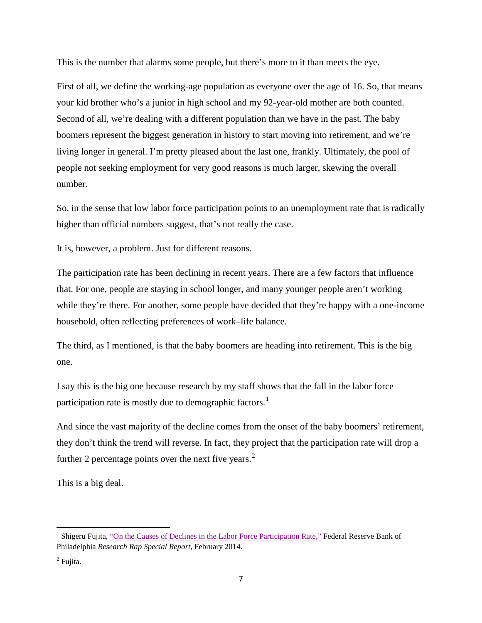This is the number that alarms some people, but there's more to it than meets the eye.

First of all, we define the working-age population as everyone over the age of 16. So, that means your kid brother who's a junior in high school and my 92-year-old mother are both counted. Second of all, we're dealing with a different population than we have in the past. The baby boomers represent the biggest generation in history to start moving into retirement, and we're living longer in general. I'm pretty pleased about the last one, frankly. Ultimately, the pool of people not seeking employment for very good reasons is much larger, skewing the overall number.

So, in the sense that low labor force participation points to an unemployment rate that is radically higher than official numbers suggest, that's not really the case.

It is, however, a problem. Just for different reasons.

The participation rate has been declining in recent years. There are a few factors that influence that. For one, people are staying in school longer, and many younger people aren't working while they're there. For another, some people have decided that they're happy with a one-income household, often reflecting preferences of work–life balance.

The third, as I mentioned, is that the baby boomers are heading into retirement. This is the big one.

I say this is the big one because research by my staff shows that the fall in the labor force participation rate is mostly due to demographic factors.<sup>[1](#page-7-0)</sup>

And since the vast majority of the decline comes from the onset of the baby boomers' retirement, they don't think the trend will reverse. In fact, they project that the participation rate will drop a further [2](#page-7-1) percentage points over the next five years. $2$ 

This is a big deal.

<span id="page-7-0"></span><sup>&</sup>lt;sup>1</sup> Shigeru Fujita[, "On the Causes of Declines in the Labor Force Participation Rate,"](https://philadelphiafedcm.ws.frb.org/-/media/research-and-data/publications/research-rap/2014/on-the-causes-of-declines-in-the-labor-force-participation-rate.pdf?la=en) Federal Reserve Bank of Philadelphia *Research Rap Special Report*, February 2014.

<span id="page-7-1"></span><sup>&</sup>lt;sup>2</sup> Fujita.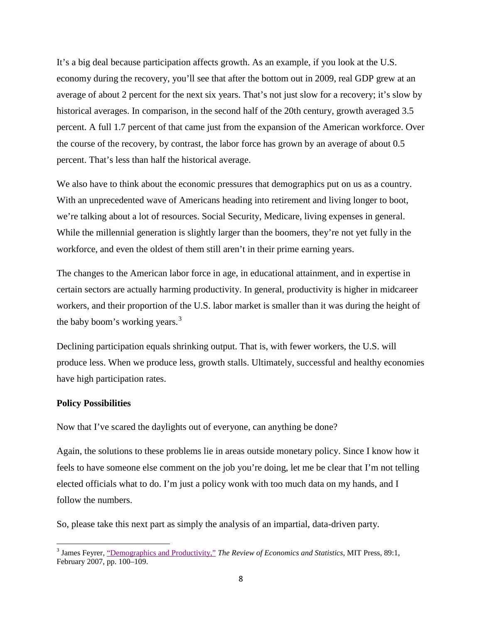It's a big deal because participation affects growth. As an example, if you look at the U.S. economy during the recovery, you'll see that after the bottom out in 2009, real GDP grew at an average of about 2 percent for the next six years. That's not just slow for a recovery; it's slow by historical averages. In comparison, in the second half of the 20th century, growth averaged 3.5 percent. A full 1.7 percent of that came just from the expansion of the American workforce. Over the course of the recovery, by contrast, the labor force has grown by an average of about 0.5 percent. That's less than half the historical average.

We also have to think about the economic pressures that demographics put on us as a country. With an unprecedented wave of Americans heading into retirement and living longer to boot, we're talking about a lot of resources. Social Security, Medicare, living expenses in general. While the millennial generation is slightly larger than the boomers, they're not yet fully in the workforce, and even the oldest of them still aren't in their prime earning years.

The changes to the American labor force in age, in educational attainment, and in expertise in certain sectors are actually harming productivity. In general, productivity is higher in midcareer workers, and their proportion of the U.S. labor market is smaller than it was during the height of the baby boom's working years.<sup>[3](#page-8-0)</sup>

Declining participation equals shrinking output. That is, with fewer workers, the U.S. will produce less. When we produce less, growth stalls. Ultimately, successful and healthy economies have high participation rates.

## **Policy Possibilities**

Now that I've scared the daylights out of everyone, can anything be done?

Again, the solutions to these problems lie in areas outside monetary policy. Since I know how it feels to have someone else comment on the job you're doing, let me be clear that I'm not telling elected officials what to do. I'm just a policy wonk with too much data on my hands, and I follow the numbers.

So, please take this next part as simply the analysis of an impartial, data-driven party.

<span id="page-8-0"></span><sup>&</sup>lt;sup>3</sup> James Feyrer, <u>"Demographics and Productivity,"</u> *The Review of Economics and Statistics*, MIT Press, 89:1, February 2007, pp. 100–109.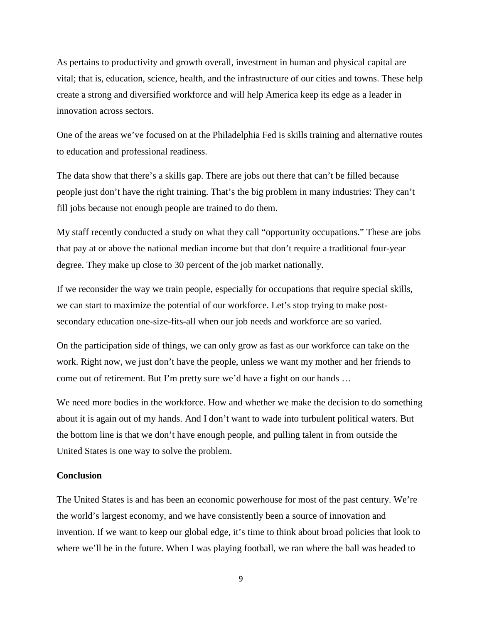As pertains to productivity and growth overall, investment in human and physical capital are vital; that is, education, science, health, and the infrastructure of our cities and towns. These help create a strong and diversified workforce and will help America keep its edge as a leader in innovation across sectors.

One of the areas we've focused on at the Philadelphia Fed is skills training and alternative routes to education and professional readiness.

The data show that there's a skills gap. There are jobs out there that can't be filled because people just don't have the right training. That's the big problem in many industries: They can't fill jobs because not enough people are trained to do them.

My staff recently conducted a study on what they call "opportunity occupations." These are jobs that pay at or above the national median income but that don't require a traditional four-year degree. They make up close to 30 percent of the job market nationally.

If we reconsider the way we train people, especially for occupations that require special skills, we can start to maximize the potential of our workforce. Let's stop trying to make postsecondary education one-size-fits-all when our job needs and workforce are so varied.

On the participation side of things, we can only grow as fast as our workforce can take on the work. Right now, we just don't have the people, unless we want my mother and her friends to come out of retirement. But I'm pretty sure we'd have a fight on our hands …

We need more bodies in the workforce. How and whether we make the decision to do something about it is again out of my hands. And I don't want to wade into turbulent political waters. But the bottom line is that we don't have enough people, and pulling talent in from outside the United States is one way to solve the problem.

### **Conclusion**

The United States is and has been an economic powerhouse for most of the past century. We're the world's largest economy, and we have consistently been a source of innovation and invention. If we want to keep our global edge, it's time to think about broad policies that look to where we'll be in the future. When I was playing football, we ran where the ball was headed to